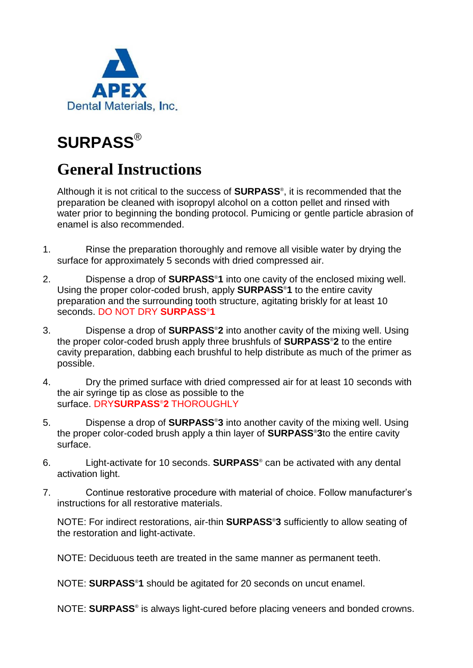

# **SURPASS**®

# **General Instructions**

Although it is not critical to the success of **SURPASS**® , it is recommended that the preparation be cleaned with isopropyl alcohol on a cotton pellet and rinsed with water prior to beginning the bonding protocol. Pumicing or gentle particle abrasion of enamel is also recommended.

- 1. Rinse the preparation thoroughly and remove all visible water by drying the surface for approximately 5 seconds with dried compressed air.
- 2. Dispense a drop of **SURPASS**®**1** into one cavity of the enclosed mixing well. Using the proper color-coded brush, apply **SURPASS**®**1** to the entire cavity preparation and the surrounding tooth structure, agitating briskly for at least 10 seconds. DO NOT DRY **SURPASS**®**1**
- 3. Dispense a drop of **SURPASS**®**2** into another cavity of the mixing well. Using the proper color-coded brush apply three brushfuls of **SURPASS**®**2** to the entire cavity preparation, dabbing each brushful to help distribute as much of the primer as possible.
- 4. Dry the primed surface with dried compressed air for at least 10 seconds with the air syringe tip as close as possible to the surface. DRY**SURPASS**®**2** THOROUGHLY
- 5. Dispense a drop of **SURPASS**®**3** into another cavity of the mixing well. Using the proper color-coded brush apply a thin layer of **SURPASS**®**3**to the entire cavity surface.
- 6. Light-activate for 10 seconds. **SURPASS**® can be activated with any dental activation light.
- 7. Continue restorative procedure with material of choice. Follow manufacturer's instructions for all restorative materials.

NOTE: For indirect restorations, air-thin **SURPASS**®**3** sufficiently to allow seating of the restoration and light-activate.

NOTE: Deciduous teeth are treated in the same manner as permanent teeth.

NOTE: **SURPASS**®**1** should be agitated for 20 seconds on uncut enamel.

NOTE: **SURPASS**® is always light-cured before placing veneers and bonded crowns.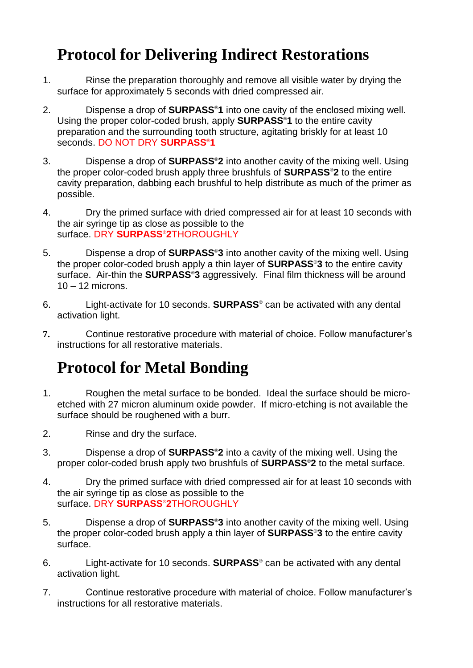### **Protocol for Delivering Indirect Restorations**

- 1. Rinse the preparation thoroughly and remove all visible water by drying the surface for approximately 5 seconds with dried compressed air.
- 2. Dispense a drop of **SURPASS**®**1** into one cavity of the enclosed mixing well. Using the proper color-coded brush, apply **SURPASS**®**1** to the entire cavity preparation and the surrounding tooth structure, agitating briskly for at least 10 seconds. DO NOT DRY **SURPASS**®**1**
- 3. Dispense a drop of **SURPASS**®**2** into another cavity of the mixing well. Using the proper color-coded brush apply three brushfuls of **SURPASS**®**2** to the entire cavity preparation, dabbing each brushful to help distribute as much of the primer as possible.
- 4. Dry the primed surface with dried compressed air for at least 10 seconds with the air syringe tip as close as possible to the surface. DRY **SURPASS**®**2**THOROUGHLY
- 5. Dispense a drop of **SURPASS**®**3** into another cavity of the mixing well. Using the proper color-coded brush apply a thin layer of **SURPASS**®**3** to the entire cavity surface. Air-thin the **SURPASS**®**3** aggressively. Final film thickness will be around  $10 - 12$  microns.
- 6. Light-activate for 10 seconds. **SURPASS**® can be activated with any dental activation light.
- **7.** Continue restorative procedure with material of choice. Follow manufacturer's instructions for all restorative materials.

# **Protocol for Metal Bonding**

- 1. Roughen the metal surface to be bonded. Ideal the surface should be microetched with 27 micron aluminum oxide powder. If micro-etching is not available the surface should be roughened with a burr.
- 2. Rinse and dry the surface.
- 3. Dispense a drop of **SURPASS**®**2** into a cavity of the mixing well. Using the proper color-coded brush apply two brushfuls of **SURPASS**®**2** to the metal surface.
- 4. Dry the primed surface with dried compressed air for at least 10 seconds with the air syringe tip as close as possible to the surface. DRY **SURPASS**®**2**THOROUGHLY
- 5. Dispense a drop of **SURPASS**®**3** into another cavity of the mixing well. Using the proper color-coded brush apply a thin layer of **SURPASS**®**3** to the entire cavity surface.
- 6. Light-activate for 10 seconds. **SURPASS**® can be activated with any dental activation light.
- 7. Continue restorative procedure with material of choice. Follow manufacturer's instructions for all restorative materials.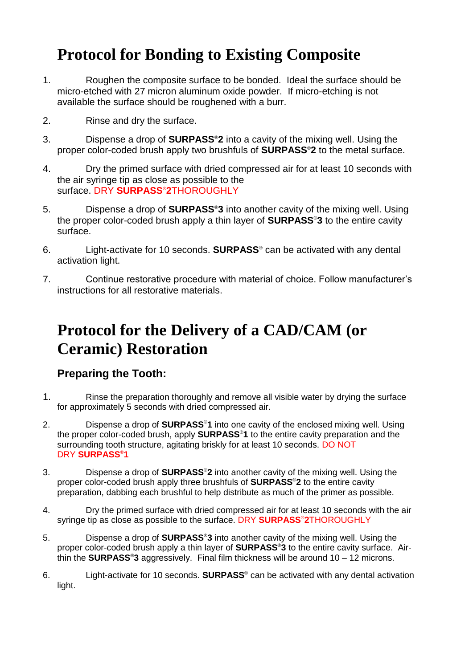### **Protocol for Bonding to Existing Composite**

- 1. Roughen the composite surface to be bonded. Ideal the surface should be micro-etched with 27 micron aluminum oxide powder. If micro-etching is not available the surface should be roughened with a burr.
- 2. Rinse and dry the surface.
- 3. Dispense a drop of **SURPASS**®**2** into a cavity of the mixing well. Using the proper color-coded brush apply two brushfuls of **SURPASS**®**2** to the metal surface.
- 4. Dry the primed surface with dried compressed air for at least 10 seconds with the air syringe tip as close as possible to the surface. DRY **SURPASS**®**2**THOROUGHLY
- 5. Dispense a drop of **SURPASS**®**3** into another cavity of the mixing well. Using the proper color-coded brush apply a thin layer of **SURPASS**®**3** to the entire cavity surface.
- 6. Light-activate for 10 seconds. **SURPASS**® can be activated with any dental activation light.
- 7. Continue restorative procedure with material of choice. Follow manufacturer's instructions for all restorative materials.

### **Protocol for the Delivery of a CAD/CAM (or Ceramic) Restoration**

#### **Preparing the Tooth:**

- 1. Rinse the preparation thoroughly and remove all visible water by drying the surface for approximately 5 seconds with dried compressed air.
- 2. Dispense a drop of **SURPASS**®**1** into one cavity of the enclosed mixing well. Using the proper color-coded brush, apply **SURPASS**®**1** to the entire cavity preparation and the surrounding tooth structure, agitating briskly for at least 10 seconds. DO NOT DRY **SURPASS**®**1**
- 3. Dispense a drop of **SURPASS**®**2** into another cavity of the mixing well. Using the proper color-coded brush apply three brushfuls of **SURPASS**®**2** to the entire cavity preparation, dabbing each brushful to help distribute as much of the primer as possible.
- 4. Dry the primed surface with dried compressed air for at least 10 seconds with the air syringe tip as close as possible to the surface. DRY **SURPASS**®**2**THOROUGHLY
- 5. Dispense a drop of **SURPASS**®**3** into another cavity of the mixing well. Using the proper color-coded brush apply a thin layer of **SURPASS**®**3** to the entire cavity surface. Airthin the **SURPASS**®**3** aggressively. Final film thickness will be around 10 – 12 microns.
- 6. Light-activate for 10 seconds. **SURPASS**® can be activated with any dental activation light.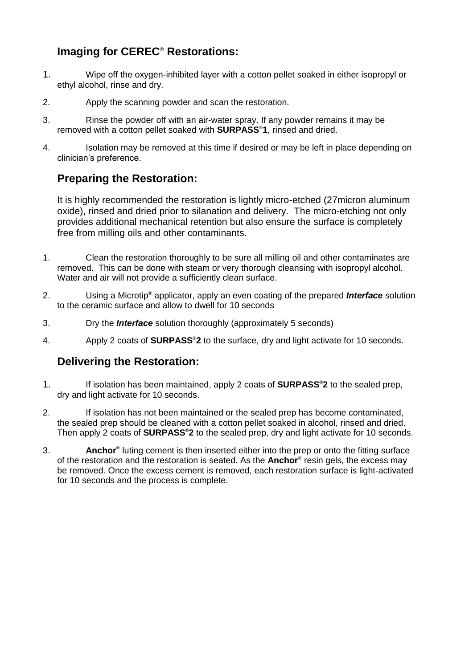### **Imaging for CEREC® Restorations:**

- 1. Wipe off the oxygen-inhibited layer with a cotton pellet soaked in either isopropyl or ethyl alcohol, rinse and dry.
- 2. Apply the scanning powder and scan the restoration.
- 3. Rinse the powder off with an air-water spray. If any powder remains it may be removed with a cotton pellet soaked with **SURPASS**®**1**, rinsed and dried.
- 4. Isolation may be removed at this time if desired or may be left in place depending on clinician's preference.

#### **Preparing the Restoration:**

It is highly recommended the restoration is lightly micro-etched (27micron aluminum oxide), rinsed and dried prior to silanation and delivery. The micro-etching not only provides additional mechanical retention but also ensure the surface is completely free from milling oils and other contaminants.

- 1. Clean the restoration thoroughly to be sure all milling oil and other contaminates are removed. This can be done with steam or very thorough cleansing with isopropyl alcohol. Water and air will not provide a sufficiently clean surface.
- 2. Using a Microtip® applicator, apply an even coating of the prepared *Interface* solution to the ceramic surface and allow to dwell for 10 seconds
- 3. Dry the *Interface* solution thoroughly (approximately 5 seconds)
- 4. Apply 2 coats of **SURPASS**®**2** to the surface, dry and light activate for 10 seconds.

#### **Delivering the Restoration:**

- 1. If isolation has been maintained, apply 2 coats of **SURPASS**®**2** to the sealed prep, dry and light activate for 10 seconds.
- 2. If isolation has not been maintained or the sealed prep has become contaminated, the sealed prep should be cleaned with a cotton pellet soaked in alcohol, rinsed and dried. Then apply 2 coats of **SURPASS**®**2** to the sealed prep, dry and light activate for 10 seconds.
- 3. **Anchor**® luting cement is then inserted either into the prep or onto the fitting surface of the restoration and the restoration is seated. As the **Anchor**® resin gels, the excess may be removed. Once the excess cement is removed, each restoration surface is light-activated for 10 seconds and the process is complete.